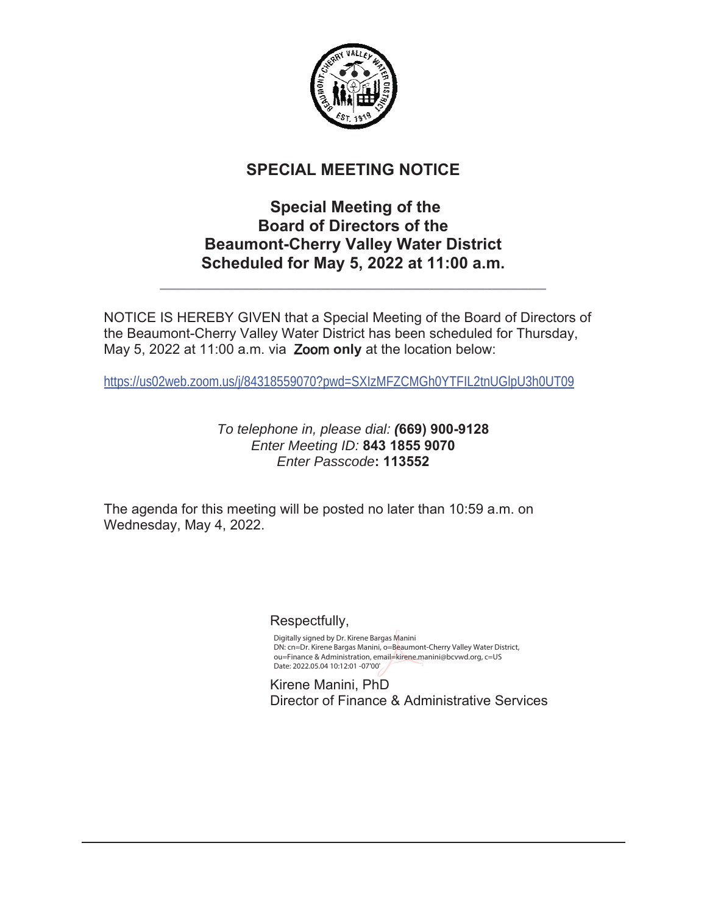

# **SPECIAL MEETING NOTICE**

# **Special Meeting of the Board of Directors of the Beaumont-Cherry Valley Water District** Scheduled for May 5, 2022 at 11:00 a.m.

**BBBBBBBBBBBBBBBBBBBBBBBBBBBBBBBBBBBBBBBBBBB**

NOTICE IS HEREBY GIVEN that a Special Meeting of the Board of Directors of the Beaumont-Cherry Valley Water District has been scheduled for Thursday, May 5, 2022 at 11:00 a.m. via **Zoom only** at the location below:

https://us02web.zoom.us/j/84318559070?pwd=SXIzMFZCMGh0YTFIL2tnUGlpU3h0UT09

### *To telephone in, please dial: (* *Enter Meeting ID: Enter Passcode*

The agenda for this meeting will be posted no later than 10:59 a.m. on Wednesday, May 4, 2022.

Respectfully,

 Digitally signed by Dr. Kirene Bargas Manini DN: cn=Dr. Kirene Bargas Manini, o=Beaumont-Cherry Valley Water District, ou=Finance & Administration, email=kirene.manini@bcvwd.org, c=US Date: 2022.05.04 10:12:01 -07'00'

> Kirene Manini, PhD Director of Finance & Administrative Services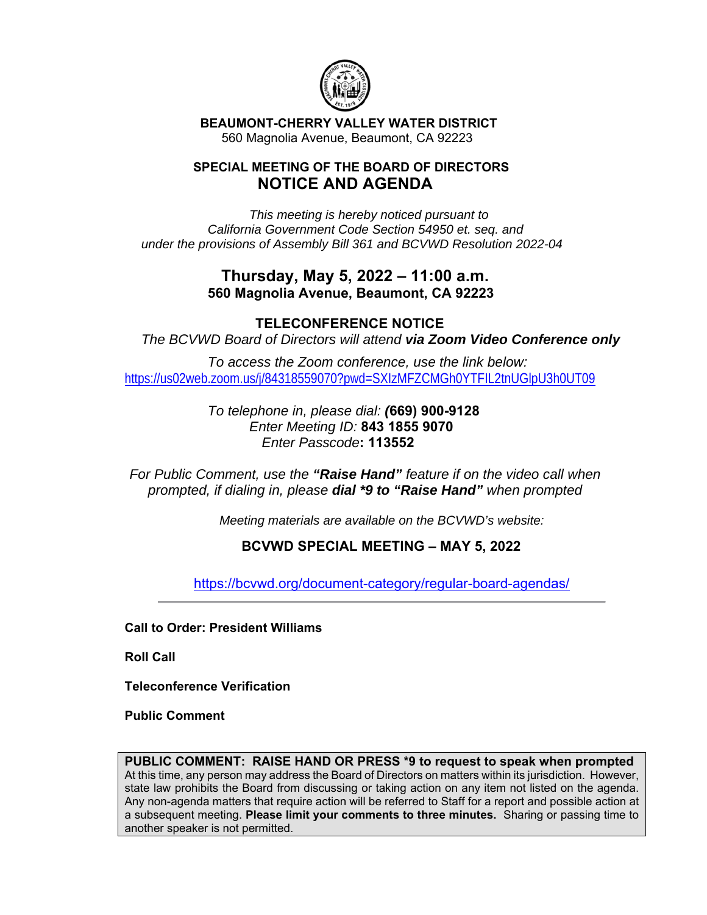

 **BEAUMONT-CHERRY VALLEY WATER DISTRICT**  560 Magnolia Avenue, Beaumont, CA 92223

### **SPECIAL MEETING OF THE BOARD OF DIRECTORS NOTICE AND AGENDA**

*This meeting is hereby noticed pursuant to California Government Code Section 54950 et. seq. and under the provisions of Assembly Bill 361 and BCVWD Resolution 2022-04* 

## **Thursday, May 5, 2022 – 11:00 a.m. 560 Magnolia Avenue, Beaumont, CA 92223**

### **TELECONFERENCE NOTICE**

*The BCVWD Board of Directors will attend via Zoom Video Conference only*

 *To access the Zoom conference, use the link below:*  https://us02web.zoom.us/j/84318559070?pwd=SXIzMFZCMGh0YTFIL2tnUGlpU3h0UT09

> *To telephone in, please dial: (***669) 900-9128**  *Enter Meeting ID:* **843 1855 9070**   *Enter Passcode***: 113552**

*For Public Comment, use the "Raise Hand" feature if on the video call when prompted, if dialing in, please dial \*9 to "Raise Hand" when prompted* 

*Meeting materials are available on the BCVWD's website:* 

### **BCVWD SPECIAL MEETING – MAY 5, 2022**

https://bcvwd.org/document-category/regular-board-agendas/

**Call to Order: President Williams** 

**Roll Call** 

**Teleconference Verification** 

**Public Comment** 

**PUBLIC COMMENT: RAISE HAND OR PRESS \*9 to request to speak when prompted** At this time, any person may address the Board of Directors on matters within its jurisdiction. However, state law prohibits the Board from discussing or taking action on any item not listed on the agenda. Any non-agenda matters that require action will be referred to Staff for a report and possible action at a subsequent meeting. **Please limit your comments to three minutes.** Sharing or passing time to another speaker is not permitted.